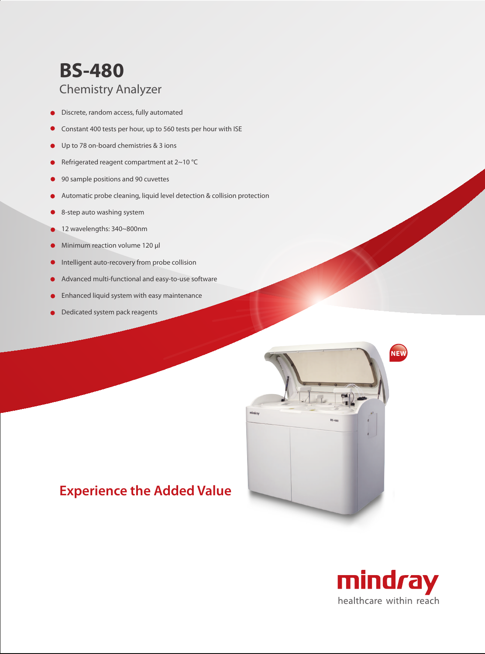## **BS-480** Chemistry Analyzer

- Discrete, random access, fully automated
- Constant 400 tests per hour, up to 560 tests per hour with ISE
- Up to 78 on-board chemistries & 3 ions
- Refrigerated reagent compartment at 2~10 °C
- 90 sample positions and 90 cuvettes
- Automatic probe cleaning, liquid level detection & collision protection
- 8-step auto washing system
- 12 wavelengths: 340~800nm
- Minimum reaction volume 120 µl
- Intelligent auto-recovery from probe collision  $\bullet$
- Advanced multi-functional and easy-to-use software
- Enhanced liquid system with easy maintenance
- Dedicated system pack reagents



### **Experience the Added Value**